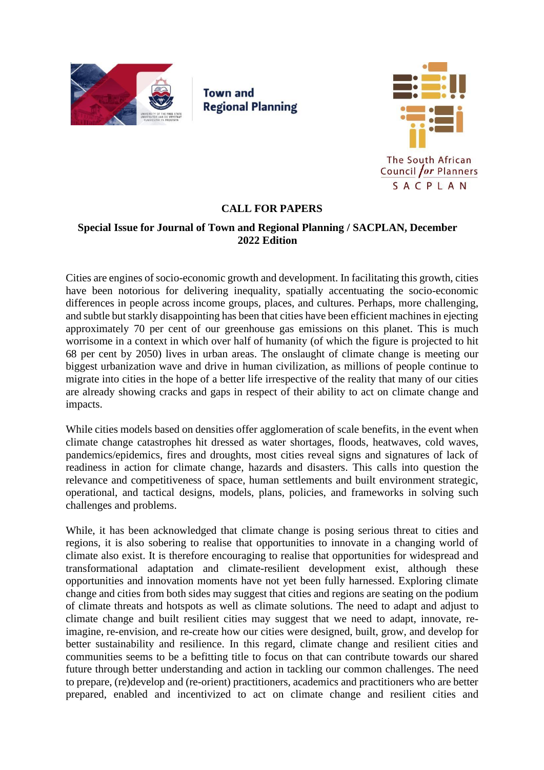

**Town and Regional Planning** 



# **CALL FOR PAPERS**

## **Special Issue for Journal of Town and Regional Planning / SACPLAN, December 2022 Edition**

Cities are engines of socio-economic growth and development. In facilitating this growth, cities have been notorious for delivering inequality, spatially accentuating the socio-economic differences in people across income groups, places, and cultures. Perhaps, more challenging, and subtle but starkly disappointing has been that cities have been efficient machines in ejecting approximately 70 per cent of our greenhouse gas emissions on this planet. This is much worrisome in a context in which over half of humanity (of which the figure is projected to hit 68 per cent by 2050) lives in urban areas. The onslaught of climate change is meeting our biggest urbanization wave and drive in human civilization, as millions of people continue to migrate into cities in the hope of a better life irrespective of the reality that many of our cities are already showing cracks and gaps in respect of their ability to act on climate change and impacts.

While cities models based on densities offer agglomeration of scale benefits, in the event when climate change catastrophes hit dressed as water shortages, floods, heatwaves, cold waves, pandemics/epidemics, fires and droughts, most cities reveal signs and signatures of lack of readiness in action for climate change, hazards and disasters. This calls into question the relevance and competitiveness of space, human settlements and built environment strategic, operational, and tactical designs, models, plans, policies, and frameworks in solving such challenges and problems.

While, it has been acknowledged that climate change is posing serious threat to cities and regions, it is also sobering to realise that opportunities to innovate in a changing world of climate also exist. It is therefore encouraging to realise that opportunities for widespread and transformational adaptation and climate-resilient development exist, although these opportunities and innovation moments have not yet been fully harnessed. Exploring climate change and cities from both sides may suggest that cities and regions are seating on the podium of climate threats and hotspots as well as climate solutions. The need to adapt and adjust to climate change and built resilient cities may suggest that we need to adapt, innovate, reimagine, re-envision, and re-create how our cities were designed, built, grow, and develop for better sustainability and resilience. In this regard, climate change and resilient cities and communities seems to be a befitting title to focus on that can contribute towards our shared future through better understanding and action in tackling our common challenges. The need to prepare, (re)develop and (re-orient) practitioners, academics and practitioners who are better prepared, enabled and incentivized to act on climate change and resilient cities and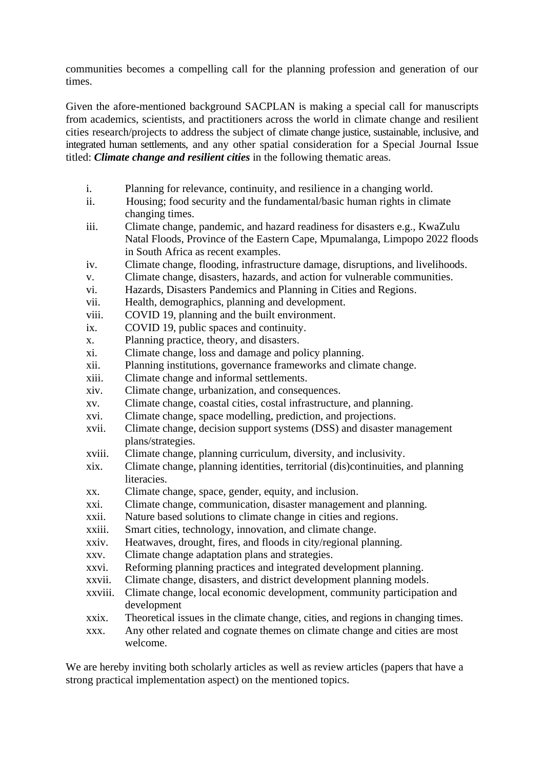communities becomes a compelling call for the planning profession and generation of our times.

Given the afore-mentioned background SACPLAN is making a special call for manuscripts from academics, scientists, and practitioners across the world in climate change and resilient cities research/projects to address the subject of climate change justice, sustainable, inclusive, and integrated human settlements, and any other spatial consideration for a Special Journal Issue titled: *Climate change and resilient cities* in the following thematic areas.

- i. Planning for relevance, continuity, and resilience in a changing world.
- ii. Housing; food security and the fundamental/basic human rights in climate changing times.
- iii. Climate change, pandemic, and hazard readiness for disasters e.g., KwaZulu Natal Floods, Province of the Eastern Cape, Mpumalanga, Limpopo 2022 floods in South Africa as recent examples.
- iv. Climate change, flooding, infrastructure damage, disruptions, and livelihoods.
- v. Climate change, disasters, hazards, and action for vulnerable communities.
- vi. Hazards, Disasters Pandemics and Planning in Cities and Regions.
- vii. Health, demographics, planning and development.
- viii. COVID 19, planning and the built environment.
- ix. COVID 19, public spaces and continuity.
- x. Planning practice, theory, and disasters.
- xi. Climate change, loss and damage and policy planning.
- xii. Planning institutions, governance frameworks and climate change.
- xiii. Climate change and informal settlements.
- xiv. Climate change, urbanization, and consequences.
- xv. Climate change, coastal cities, costal infrastructure, and planning.
- xvi. Climate change, space modelling, prediction, and projections.
- xvii. Climate change, decision support systems (DSS) and disaster management plans/strategies.
- xviii. Climate change, planning curriculum, diversity, and inclusivity.
- xix. Climate change, planning identities, territorial (dis)continuities, and planning literacies.
- xx. Climate change, space, gender, equity, and inclusion.
- xxi. Climate change, communication, disaster management and planning.
- xxii. Nature based solutions to climate change in cities and regions.
- xxiii. Smart cities, technology, innovation, and climate change.
- xxiv. Heatwaves, drought, fires, and floods in city/regional planning.
- xxv. Climate change adaptation plans and strategies.
- xxvi. Reforming planning practices and integrated development planning.
- xxvii. Climate change, disasters, and district development planning models.
- xxviii. Climate change, local economic development, community participation and development
- xxix. Theoretical issues in the climate change, cities, and regions in changing times.
- xxx. Any other related and cognate themes on climate change and cities are most welcome.

We are hereby inviting both scholarly articles as well as review articles (papers that have a strong practical implementation aspect) on the mentioned topics.